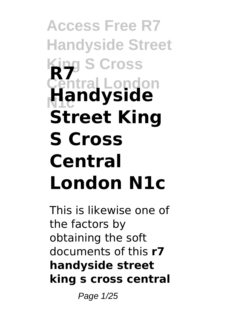## **Access Free R7 Handyside Street King S Cross Central London N1c R7 Handyside Street King S Cross Central London N1c**

This is likewise one of the factors by obtaining the soft documents of this **r7 handyside street king s cross central**

Page 1/25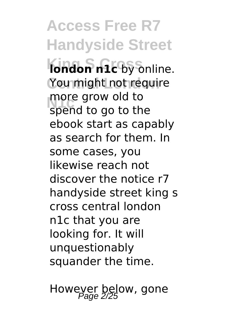**Access Free R7 Handyside Street Kondon n1c** by online. You might not require **N1c** spend to go to the more grow old to ebook start as capably as search for them. In some cases, you likewise reach not discover the notice r7 handyside street king s cross central london n1c that you are looking for. It will unquestionably squander the time.

Howeyer below, gone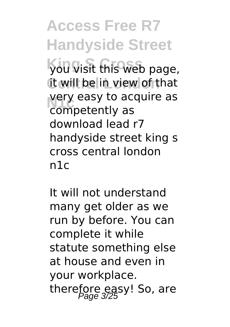**Access Free R7 Handyside Street King S Cross** you visit this web page, it will be in view of that very easy to ac<br>
competently as very easy to acquire as download lead r7 handyside street king s cross central london n1c

It will not understand many get older as we run by before. You can complete it while statute something else at house and even in your workplace. therefore easy! So, are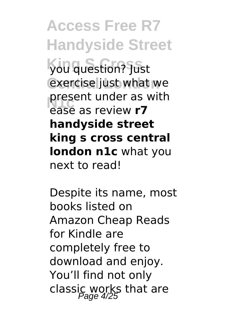**Access Free R7 Handyside Street King S Cross** you question? Just exercise just what we **present under as with**<br> **Rase as review <b>r7** ease as review **r7 handyside street king s cross central london n1c** what you next to read!

Despite its name, most books listed on Amazon Cheap Reads for Kindle are completely free to download and enjoy. You'll find not only classic works that are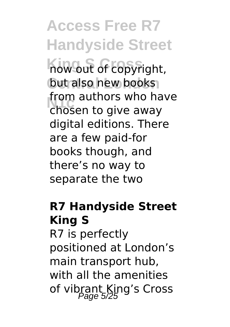**Access Free R7 Handyside Street King S Cross** now out of copyright, but also new books **N1c** chosen to give away from authors who have digital editions. There are a few paid-for books though, and there's no way to separate the two

### **R7 Handyside Street King S**

R7 is perfectly positioned at London's main transport hub, with all the amenities of vibrant King's Cross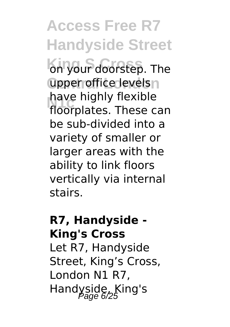# **Access Free R7 Handyside Street** on your doorstep. The upper office levels n have highly flexible

**N1c** floorplates. These can be sub-divided into a variety of smaller or larger areas with the ability to link floors vertically via internal stairs.

#### **R7, Handyside - King's Cross** Let R7, Handyside

Street, King's Cross, London N1 R7, Handyside, King's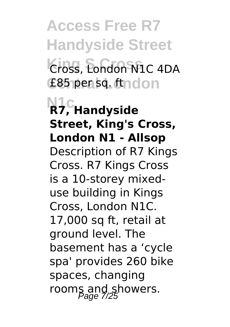**Access Free R7 Handyside Street King S Cross** Cross, London N1C 4DA **Central London** £85 per sq. ft

**N1c R7, Handyside Street, King's Cross, London N1 - Allsop** Description of R7 Kings Cross. R7 Kings Cross is a 10-storey mixeduse building in Kings Cross, London N1C. 17,000 sq ft, retail at ground level. The basement has a 'cycle spa' provides 260 bike spaces, changing rooms and showers.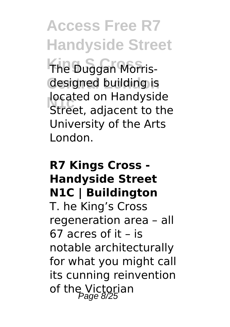**Access Free R7 Handyside Street**

**The Duggan Morris**designed building is **I** located on Handyside<br>Street, adjacent to the located on Handyside University of the Arts London.

#### **R7 Kings Cross - Handyside Street N1C | Buildington** T. he King's Cross regeneration area – all 67 acres of it – is notable architecturally for what you might call its cunning reinvention of the Victorian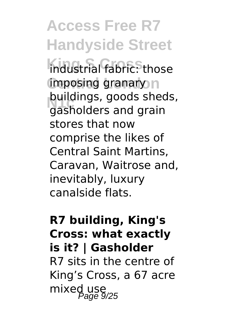**Access Free R7 Handyside Street King S Cross** industrial fabric: those imposing granary n **Dundings, goods shed**<br>gasholders and grain buildings, goods sheds, stores that now comprise the likes of Central Saint Martins, Caravan, Waitrose and, inevitably, luxury canalside flats.

### **R7 building, King's Cross: what exactly is it? | Gasholder** R7 sits in the centre of King's Cross, a 67 acre mixed use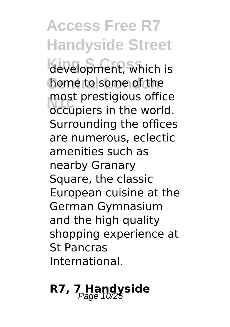**Access Free R7 Handyside Street** development, which is home to some of the **N1c** occupiers in the world. most prestigious office Surrounding the offices are numerous, eclectic amenities such as nearby Granary Square, the classic European cuisine at the German Gymnasium and the high quality shopping experience at St Pancras International.

## **R7, 7 Handyside**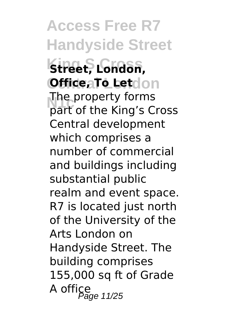**Access Free R7 Handyside Street King S Cross Street, London, Office, To Letcion NOCE PROPERTY TORIS**<br>**part of the King's Cross** The property forms Central development which comprises a number of commercial and buildings including substantial public realm and event space. R7 is located just north of the University of the Arts London on Handyside Street. The building comprises 155,000 sq ft of Grade  $A$  office<br>A office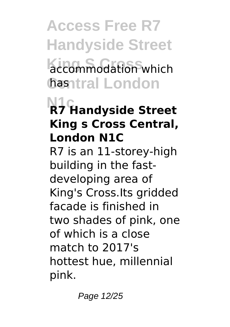**Access Free R7 Handyside Street**  $accommodation$  which **Central London** has

## **N1c R7 Handyside Street King s Cross Central, London N1C**

R7 is an 11-storey-high building in the fastdeveloping area of King's Cross.Its gridded facade is finished in two shades of pink, one of which is a close match to 2017's hottest hue, millennial pink.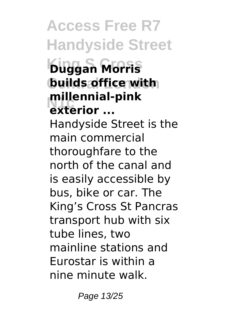**Access Free R7 Handyside Street King S Cross Duggan Morris builds office with** millenniai-<br>exterior ... **millennial-pink** Handyside Street is the main commercial thoroughfare to the north of the canal and is easily accessible by bus, bike or car. The King's Cross St Pancras transport hub with six tube lines, two mainline stations and Eurostar is within a nine minute walk.

Page 13/25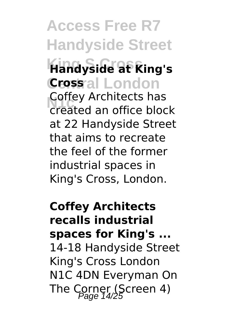### **Access Free R7 Handyside Street King S Cross Handyside at King's Crossal London Loney Architects has**<br>
created an office block Coffey Architects has at 22 Handyside Street that aims to recreate the feel of the former industrial spaces in King's Cross, London.

**Coffey Architects recalls industrial spaces for King's ...** 14-18 Handyside Street King's Cross London N1C 4DN Everyman On The Corner (Screen 4)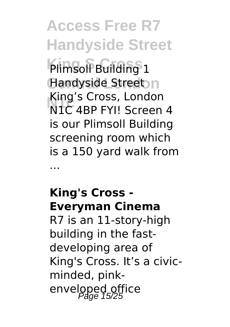**Access Free R7 Handyside Street Plimsoll Building 1** Handyside Street<sub>n</sub> **N1c** N1C 4BP FYI! Screen 4 King's Cross, London is our Plimsoll Building screening room which is a 150 yard walk from ...

## **King's Cross - Everyman Cinema**

R7 is an 11-story-high building in the fastdeveloping area of King's Cross. It's a civicminded, pinkenveloped office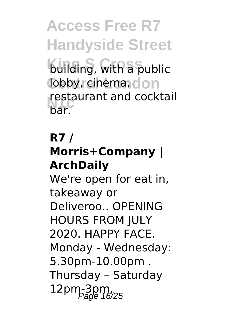**Access Free R7 Handyside Street building, with a public** lobby, cinema<sub>ndon</sub> **N1c** bar. restaurant and cocktail

### **R7 /**

### **Morris+Company | ArchDaily**

We're open for eat in, takeaway or Deliveroo.. OPENING HOURS FROM JULY 2020. HAPPY FACE. Monday - Wednesday: 5.30pm-10.00pm . Thursday – Saturday  $12$ pm- $3$ pm,  $^{12}$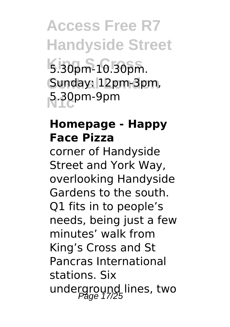**Access Free R7 Handyside Street King S Cross** 5.30pm-10.30pm. Sunday: 12pm-3pm, **N1c** 5.30pm-9pm

#### **Homepage - Happy Face Pizza**

corner of Handyside Street and York Way, overlooking Handyside Gardens to the south. Q1 fits in to people's needs, being just a few minutes' walk from King's Cross and St Pancras International stations. Six underground lines, two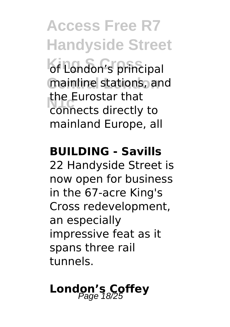**Access Free R7 Handyside Street** of London's principal mainline stations, and **N1c** connects directly to the Eurostar that mainland Europe, all

#### **BUILDING - Savills**

22 Handyside Street is now open for business in the 67-acre King's Cross redevelopment, an especially impressive feat as it spans three rail tunnels.

# London's Coffey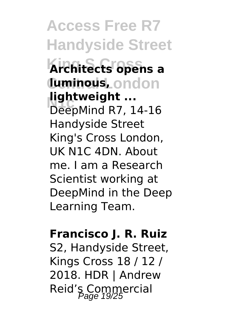**Access Free R7 Handyside Street King S Cross Architects opens a Central London luminous, Nghtweight** ...<br>DeepMind R7, 14-16 **lightweight ...** Handyside Street King's Cross London, UK N1C 4DN. About me. I am a Research Scientist working at DeepMind in the Deep Learning Team.

#### **Francisco J. R. Ruiz**

S2, Handyside Street, Kings Cross 18 / 12 / 2018. HDR | Andrew Reid's Commercial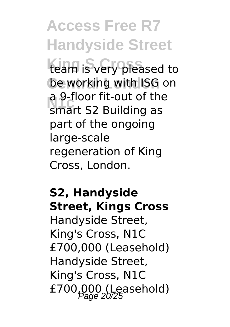# **Access Free R7 Handyside Street**

team is very pleased to be working with ISG on **N1c** smart S2 Building as a 9-floor fit-out of the part of the ongoing large-scale regeneration of King Cross, London.

#### **S2, Handyside Street, Kings Cross**

Handyside Street, King's Cross, N1C £700,000 (Leasehold) Handyside Street, King's Cross, N1C £700,000 (Leasehold)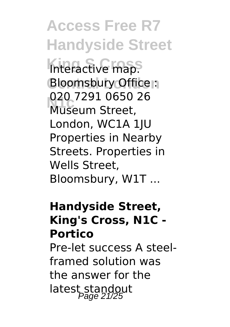**Access Free R7 Handyside Street** Interactive map. **Bloomsbury Office N1c** Museum Street, 020 7291 0650 26 London, WC1A 1JU Properties in Nearby Streets. Properties in Wells Street, Bloomsbury, W1T ...

#### **Handyside Street, King's Cross, N1C - Portico**

Pre-let success A steelframed solution was the answer for the latest standout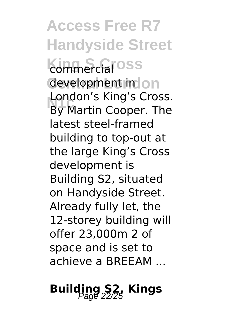**Access Free R7 Handyside Street kommercial**<sup>oss</sup> development in on **London s King S Cross.**<br>By Martin Cooper. The London's King's Cross. latest steel-framed building to top-out at the large King's Cross development is Building S2, situated on Handyside Street. Already fully let, the 12-storey building will offer 23,000m 2 of space and is set to achieve a BREEAM ...

## **Building S2, Kings**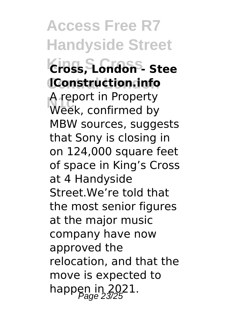**Access Free R7 Handyside Street King S Cross Cross, London - Stee Central London lConstruction.info N1c** Week, confirmed by A report in Property MBW sources, suggests that Sony is closing in on 124,000 square feet of space in King's Cross at 4 Handyside Street.We're told that the most senior figures at the major music company have now approved the relocation, and that the move is expected to happen in  $2021$ .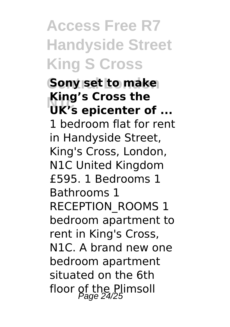# **Access Free R7 Handyside Street King S Cross**

**Sony set to make N1c UK's epicenter of ... King's Cross the** 1 bedroom flat for rent in Handyside Street, King's Cross, London, N1C United Kingdom £595. 1 Bedrooms 1 Bathrooms 1 RECEPTION\_ROOMS 1 bedroom apartment to rent in King's Cross, N1C. A brand new one bedroom apartment situated on the 6th floor of the Plimsoll<br>Page 24/25